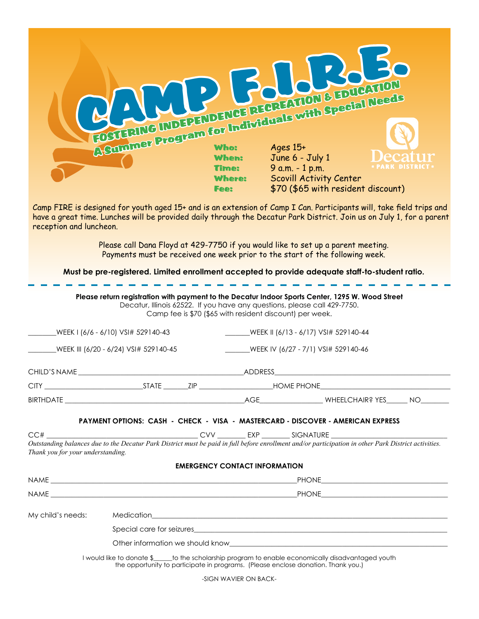|                                                                                                 | FOSUERING INDEPENDENCE REGREATION & EDUCATION<br>ASuniner Program for Individuals with Special Needs                                                                                     |                                                          |                                                                                                                                                                                                                                |                                                                                                                                                                                                                                             |  |  |
|-------------------------------------------------------------------------------------------------|------------------------------------------------------------------------------------------------------------------------------------------------------------------------------------------|----------------------------------------------------------|--------------------------------------------------------------------------------------------------------------------------------------------------------------------------------------------------------------------------------|---------------------------------------------------------------------------------------------------------------------------------------------------------------------------------------------------------------------------------------------|--|--|
|                                                                                                 |                                                                                                                                                                                          |                                                          |                                                                                                                                                                                                                                |                                                                                                                                                                                                                                             |  |  |
|                                                                                                 |                                                                                                                                                                                          | <b>When:</b><br><b>Time:</b>                             | June 6 - July 1<br>9 a.m. - 1 p.m.                                                                                                                                                                                             | • PARK DISTRICT                                                                                                                                                                                                                             |  |  |
|                                                                                                 |                                                                                                                                                                                          | <b>Where:</b><br><b>Fee:</b>                             | Scovill Activity Center                                                                                                                                                                                                        | \$70 (\$65 with resident discount)                                                                                                                                                                                                          |  |  |
| reception and luncheon.                                                                         |                                                                                                                                                                                          |                                                          |                                                                                                                                                                                                                                | Camp FIRE is designed for youth aged 15+ and is an extension of Camp I Can. Participants will, take field trips and<br>have a great time. Lunches will be provided daily through the Decatur Park District. Join us on July 1, for a parent |  |  |
|                                                                                                 | Please call Dana Floyd at 429-7750 if you would like to set up a parent meeting.<br>Payments must be received one week prior to the start of the following week.                         |                                                          |                                                                                                                                                                                                                                |                                                                                                                                                                                                                                             |  |  |
| Must be pre-registered. Limited enrollment accepted to provide adequate staff-to-student ratio. |                                                                                                                                                                                          |                                                          |                                                                                                                                                                                                                                |                                                                                                                                                                                                                                             |  |  |
|                                                                                                 | Please return registration with payment to the Decatur Indoor Sports Center, 1295 W. Wood Street<br>Decatur, Illinois 62522. If you have any questions, please call 429-7750.            | Camp fee is \$70 (\$65 with resident discount) per week. |                                                                                                                                                                                                                                |                                                                                                                                                                                                                                             |  |  |
|                                                                                                 | WEEK I (6/6 - 6/10) VSI# 529140-43                                                                                                                                                       |                                                          | WEEK II (6/13 - 6/17) VSI# 529140-44                                                                                                                                                                                           |                                                                                                                                                                                                                                             |  |  |
| WEEK III (6/20 - 6/24) VSI# 529140-45                                                           |                                                                                                                                                                                          |                                                          | WEEK IV (6/27 - 7/1) VSI# 529140-46                                                                                                                                                                                            |                                                                                                                                                                                                                                             |  |  |
| CHILD'S NAME                                                                                    |                                                                                                                                                                                          |                                                          | _ADDRESS                                                                                                                                                                                                                       |                                                                                                                                                                                                                                             |  |  |
|                                                                                                 |                                                                                                                                                                                          |                                                          |                                                                                                                                                                                                                                |                                                                                                                                                                                                                                             |  |  |
|                                                                                                 |                                                                                                                                                                                          |                                                          |                                                                                                                                                                                                                                |                                                                                                                                                                                                                                             |  |  |
|                                                                                                 | PAYMENT OPTIONS: CASH - CHECK - VISA - MASTERCARD - DISCOVER - AMERICAN EXPRESS                                                                                                          |                                                          |                                                                                                                                                                                                                                |                                                                                                                                                                                                                                             |  |  |
|                                                                                                 |                                                                                                                                                                                          |                                                          |                                                                                                                                                                                                                                | Outstanding balances due to the Decatur Park District must be paid in full before enrollment and/or participation in other Park District activities.                                                                                        |  |  |
| Thank you for your understanding.                                                               |                                                                                                                                                                                          |                                                          |                                                                                                                                                                                                                                |                                                                                                                                                                                                                                             |  |  |
|                                                                                                 |                                                                                                                                                                                          | <b>EMERGENCY CONTACT INFORMATION</b>                     |                                                                                                                                                                                                                                |                                                                                                                                                                                                                                             |  |  |
|                                                                                                 |                                                                                                                                                                                          |                                                          |                                                                                                                                                                                                                                |                                                                                                                                                                                                                                             |  |  |
|                                                                                                 |                                                                                                                                                                                          |                                                          |                                                                                                                                                                                                                                |                                                                                                                                                                                                                                             |  |  |
| My child's needs:                                                                               |                                                                                                                                                                                          |                                                          |                                                                                                                                                                                                                                |                                                                                                                                                                                                                                             |  |  |
|                                                                                                 |                                                                                                                                                                                          |                                                          | Special care for seizures experience and the set of the set of the set of the set of the set of the set of the set of the set of the set of the set of the set of the set of the set of the set of the set of the set of the s |                                                                                                                                                                                                                                             |  |  |
|                                                                                                 |                                                                                                                                                                                          |                                                          |                                                                                                                                                                                                                                |                                                                                                                                                                                                                                             |  |  |
|                                                                                                 | I would like to donate \$_____to the scholarship program to enable economically disadvantaged youth<br>the opportunity to participate in programs. (Please enclose donation. Thank you.) |                                                          |                                                                                                                                                                                                                                |                                                                                                                                                                                                                                             |  |  |